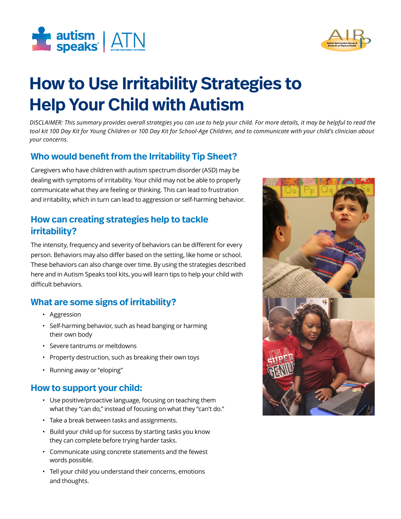



# **How to Use Irritability Strategies to Help Your Child with Autism**

*DISCLAIMER: This summary provides overall strategies you can use to help your child. For more details, it may be helpful to read the tool kit 100 Day Kit for Young Children or 100 Day Kit for School-Age Children, and to communicate with your child's clinician about your concerns.*

# **Who would benefit from the Irritability Tip Sheet?**

Caregivers who have children with autism spectrum disorder (ASD) may be dealing with symptoms of irritability. Your child may not be able to properly communicate what they are feeling or thinking. This can lead to frustration and irritability, which in turn can lead to aggression or self-harming behavior.

# **How can creating strategies help to tackle irritability?**

The intensity, frequency and severity of behaviors can be different for every person. Behaviors may also differ based on the setting, like home or school. These behaviors can also change over time. By using the strategies described here and in Autism Speaks tool kits, you will learn tips to help your child with difficult behaviors.

# **What are some signs of irritability?**

- Aggression
- Self-harming behavior, such as head banging or harming their own body
- Severe tantrums or meltdowns
- Property destruction, such as breaking their own toys
- Running away or "eloping"

#### **How to support your child:**

- Use positive/proactive language, focusing on teaching them what they "can do," instead of focusing on what they "can't do."
- Take a break between tasks and assignments.
- Build your child up for success by starting tasks you know they can complete before trying harder tasks.
- Communicate using concrete statements and the fewest words possible.
- Tell your child you understand their concerns, emotions and thoughts.